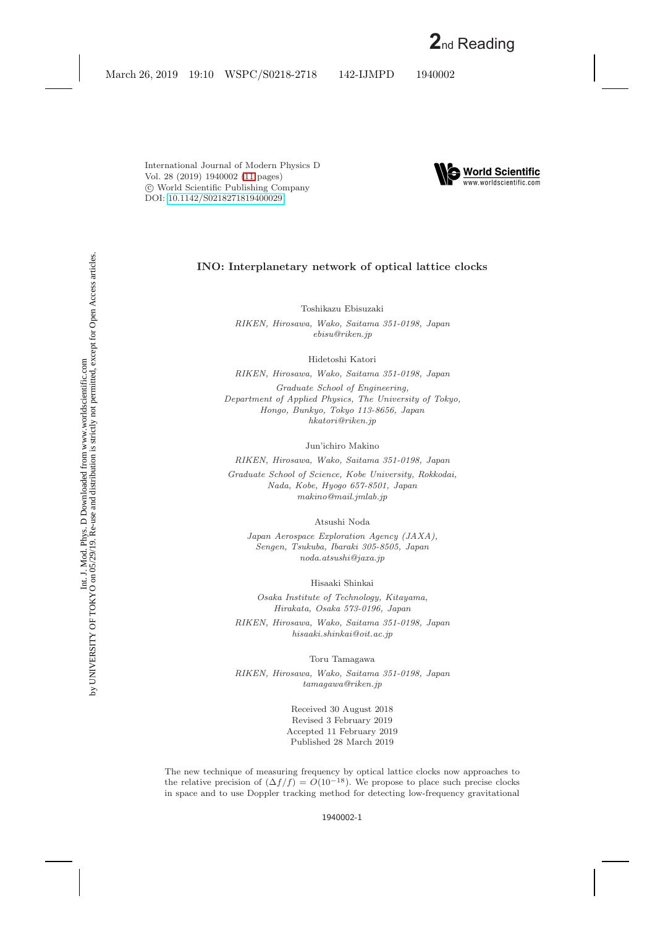

### **INO: Interplanetary network of optical lattice clocks**

Toshikazu Ebisuzaki

*RIKEN, Hirosawa, Wako, Saitama 351-0198, Japan ebisu@riken.jp*

Hidetoshi Katori

*RIKEN, Hirosawa, Wako, Saitama 351-0198, Japan*

*Graduate School of Engineering, Department of Applied Physics, The University of Tokyo, Hongo, Bunkyo, Tokyo 113-8656, Japan hkatori@riken.jp*

Jun'ichiro Makino

*RIKEN, Hirosawa, Wako, Saitama 351-0198, Japan Graduate School of Science, Kobe University, Rokkodai, Nada, Kobe, Hyogo 657-8501, Japan makino@mail.jmlab.jp*

Atsushi Noda

*Japan Aerospace Exploration Agency (JAXA), Sengen, Tsukuba, Ibaraki 305-8505, Japan noda.atsushi@jaxa.jp*

Hisaaki Shinkai

*Osaka Institute of Technology, Kitayama, Hirakata, Osaka 573-0196, Japan*

*RIKEN, Hirosawa, Wako, Saitama 351-0198, Japan hisaaki.shinkai@oit.ac.jp*

Toru Tamagawa

*RIKEN, Hirosawa, Wako, Saitama 351-0198, Japan tamagawa@riken.jp*

> Received 30 August 2018 Revised 3 February 2019 Accepted 11 February 2019 Published 28 March 2019

The new technique of measuring frequency by optical lattice clocks now approaches to the relative precision of  $(\Delta f/f) = O(10^{-18})$ . We propose to place such precise clocks in space and to use Doppler tracking method for detecting low-frequency gravitational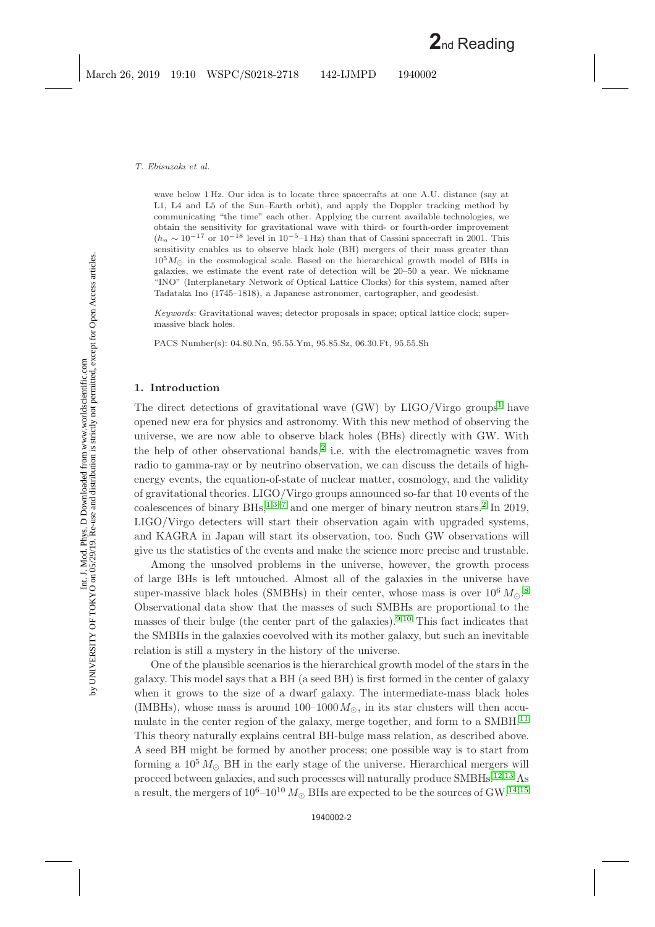#### *T. Ebisuzaki et al.*

wave below 1 Hz. Our idea is to locate three spacecrafts at one A.U. distance (say at L1, L4 and L5 of the Sun–Earth orbit), and apply the Doppler tracking method by communicating "the time" each other. Applying the current available technologies, we obtain the sensitivity for gravitational wave with third- or fourth-order improvement  $(h_n \sim 10^{-17} \text{ or } 10^{-18} \text{ level in } 10^{-5}$ –1 Hz) than that of Cassini spacecraft in 2001. This sensitivity enables us to observe black hole (BH) mergers of their mass greater than  $10^5 M_{\odot}$  in the cosmological scale. Based on the hierarchical growth model of BHs in galaxies, we estimate the event rate of detection will be 20–50 a year. We nickname "INO" (Interplanetary Network of Optical Lattice Clocks) for this system, named after Tadataka Ino (1745–1818), a Japanese astronomer, cartographer, and geodesist.

*Keywords*: Gravitational waves; detector proposals in space; optical lattice clock; supermassive black holes.

PACS Number(s): 04.80.Nn, 95.55.Ym, 95.85.Sz, 06.30.Ft, 95.55.Sh

#### **1. Introduction**

The direct detections of gravitational wave  $(GW)$  by LIGO/Virgo groups<sup>[1](#page-9-1)</sup> have opened new era for physics and astronomy. With this new method of observing the universe, we are now able to observe black holes (BHs) directly with GW. With the help of other observational bands,<sup>[2](#page-9-2)</sup> i.e. with the electromagnetic waves from radio to gamma-ray or by neutrino observation, we can discuss the details of highenergy events, the equation-of-state of nuclear matter, cosmology, and the validity of gravitational theories. LIGO/Virgo groups announced so-far that 10 events of the coalescences of binary BHs,<sup>[1](#page-9-1)[,3](#page-9-3)[–7](#page-9-4)</sup> and one merger of binary neutron stars.<sup>[2](#page-9-2)</sup> In 2019, LIGO/Virgo detecters will start their observation again with upgraded systems, and KAGRA in Japan will start its observation, too. Such GW observations will give us the statistics of the events and make the science more precise and trustable.

Among the unsolved problems in the universe, however, the growth process of large BHs is left untouched. Almost all of the galaxies in the universe have super-massive black holes (SMBHs) in their center, whose mass is over  $10^6 M_{\odot}$ .<sup>[8](#page-9-5)</sup> Observational data show that the masses of such SMBHs are proportional to the masses of their bulge (the center part of the galaxies).[9,](#page-9-6)[10](#page-9-7) This fact indicates that the SMBHs in the galaxies coevolved with its mother galaxy, but such an inevitable relation is still a mystery in the history of the universe.

One of the plausible scenarios is the hierarchical growth model of the stars in the galaxy. This model says that a BH (a seed BH) is first formed in the center of galaxy when it grows to the size of a dwarf galaxy. The intermediate-mass black holes (IMBHs), whose mass is around  $100-1000 M_{\odot}$ , in its star clusters will then accu-mulate in the center region of the galaxy, merge together, and form to a SMBH.<sup>[11](#page-9-8)</sup> This theory naturally explains central BH-bulge mass relation, as described above. A seed BH might be formed by another process; one possible way is to start from forming a  $10^5 M_{\odot}$  BH in the early stage of the universe. Hierarchical mergers will proceed between galaxies, and such processes will naturally produce SMBHs.[12](#page-9-9)[,13](#page-9-10) As a result, the mergers of  $10^6$ – $10^{10} M_{\odot}$  BHs are expected to be the sources of GW.<sup>[14](#page-9-11)[,15](#page-9-12)</sup>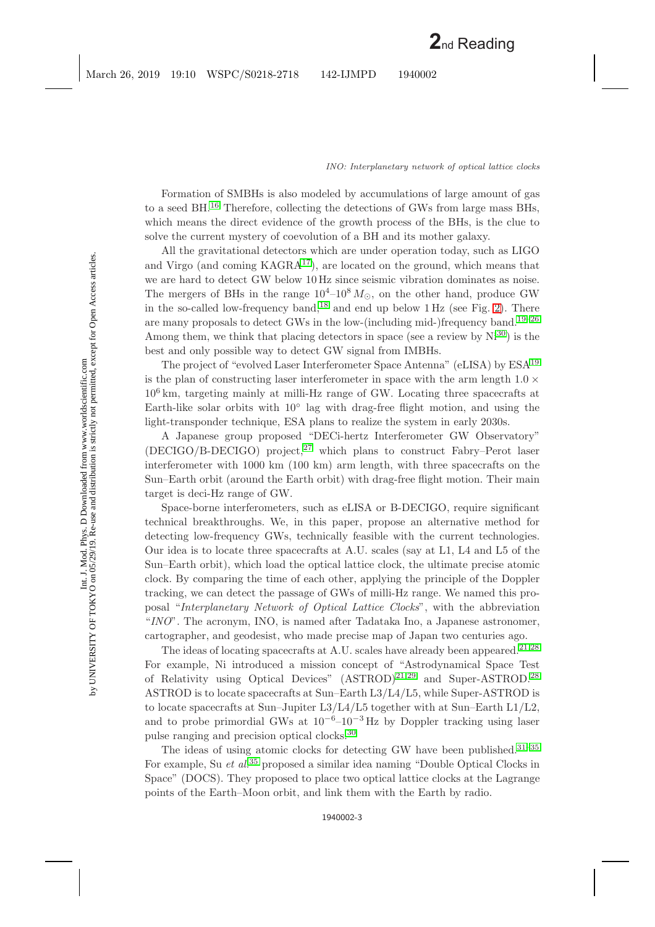Formation of SMBHs is also modeled by accumulations of large amount of gas to a seed BH.[16](#page-9-13) Therefore, collecting the detections of GWs from large mass BHs, which means the direct evidence of the growth process of the BHs, is the clue to solve the current mystery of coevolution of a BH and its mother galaxy.

All the gravitational detectors which are under operation today, such as LIGO and Virgo (and coming  $KAGRA^{17}$  $KAGRA^{17}$  $KAGRA^{17}$ ), are located on the ground, which means that we are hard to detect GW below 10 Hz since seismic vibration dominates as noise. The mergers of BHs in the range  $10^4$ – $10^8 M_{\odot}$ , on the other hand, produce GW in the so-called low-frequency band,<sup>[18](#page-9-15)</sup> and end up below  $1 \text{ Hz}$  (see Fig. [2\)](#page-7-0). There are many proposals to detect GWs in the low-(including mid-)frequency band.<sup>[19](#page-9-16)[–26](#page-10-0)</sup> Among them, we think that placing detectors in space (see a review by  $Ni^{30}$  $Ni^{30}$  $Ni^{30}$ ) is the best and only possible way to detect GW signal from IMBHs.

The project of "evolved Laser Interferometer Space Antenna" (eLISA) by ESA[19](#page-9-16) is the plan of constructing laser interferometer in space with the arm length  $1.0 \times$  $10<sup>6</sup>$  km, targeting mainly at milli-Hz range of GW. Locating three spacecrafts at Earth-like solar orbits with  $10<sup>°</sup>$  lag with drag-free flight motion, and using the light-transponder technique, ESA plans to realize the system in early 2030s.

A Japanese group proposed "DECi-hertz Interferometer GW Observatory"  $(DECIGO/B-DECIGO)$  project,<sup>[27](#page-10-2)</sup> which plans to construct Fabry–Perot laser interferometer with 1000 km (100 km) arm length, with three spacecrafts on the Sun–Earth orbit (around the Earth orbit) with drag-free flight motion. Their main target is deci-Hz range of GW.

Space-borne interferometers, such as eLISA or B-DECIGO, require significant technical breakthroughs. We, in this paper, propose an alternative method for detecting low-frequency GWs, technically feasible with the current technologies. Our idea is to locate three spacecrafts at A.U. scales (say at L1, L4 and L5 of the Sun–Earth orbit), which load the optical lattice clock, the ultimate precise atomic clock. By comparing the time of each other, applying the principle of the Doppler tracking, we can detect the passage of GWs of milli-Hz range. We named this proposal "*Interplanetary Network of Optical Lattice Clocks*", with the abbreviation "*INO*". The acronym, INO, is named after Tadataka Ino, a Japanese astronomer, cartographer, and geodesist, who made precise map of Japan two centuries ago.

The ideas of locating spacecrafts at A.U. scales have already been appeared.<sup>[21](#page-10-3)[,28](#page-10-4)</sup> For example, Ni introduced a mission concept of "Astrodynamical Space Test of Relativity using Optical Devices"  $(ASTROD)^{21,29}$  $(ASTROD)^{21,29}$  $(ASTROD)^{21,29}$  $(ASTROD)^{21,29}$  and Super-ASTROD.<sup>[28](#page-10-4)</sup> ASTROD is to locate spacecrafts at Sun–Earth L3/L4/L5, while Super-ASTROD is to locate spacecrafts at Sun–Jupiter  $L3/L4/L5$  together with at Sun–Earth  $L1/L2$ , and to probe primordial GWs at  $10^{-6}-10^{-3}$  Hz by Doppler tracking using laser pulse ranging and precision optical clocks.[30](#page-10-1)

The ideas of using atomic clocks for detecting GW have been published.<sup>[31](#page-10-6)-35</sup> For example, Su *et al.*[35](#page-10-7) proposed a similar idea naming "Double Optical Clocks in Space" (DOCS). They proposed to place two optical lattice clocks at the Lagrange points of the Earth–Moon orbit, and link them with the Earth by radio.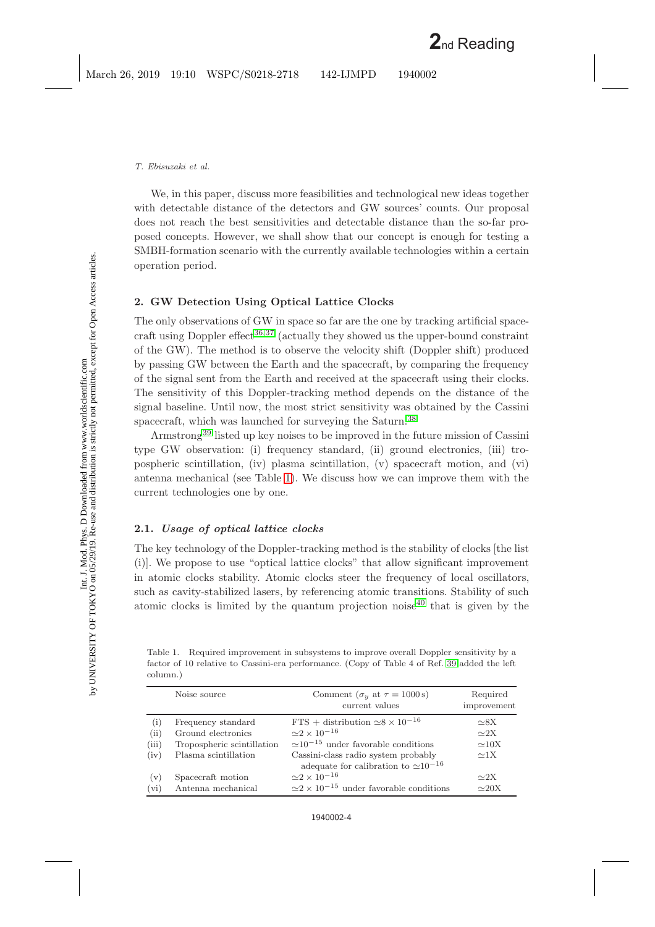#### *T. Ebisuzaki et al.*

We, in this paper, discuss more feasibilities and technological new ideas together with detectable distance of the detectors and GW sources' counts. Our proposal does not reach the best sensitivities and detectable distance than the so-far proposed concepts. However, we shall show that our concept is enough for testing a SMBH-formation scenario with the currently available technologies within a certain operation period.

# **2. GW Detection Using Optical Lattice Clocks**

The only observations of GW in space so far are the one by tracking artificial space-craft using Doppler effect<sup>[36](#page-10-8)[,37](#page-10-9)</sup> (actually they showed us the upper-bound constraint of the GW). The method is to observe the velocity shift (Doppler shift) produced by passing GW between the Earth and the spacecraft, by comparing the frequency of the signal sent from the Earth and received at the spacecraft using their clocks. The sensitivity of this Doppler-tracking method depends on the distance of the signal baseline. Until now, the most strict sensitivity was obtained by the Cassini spacecraft, which was launched for surveying the Saturn.<sup>[38](#page-10-10)</sup>

Armstrong[39](#page-10-11) listed up key noises to be improved in the future mission of Cassini type GW observation: (i) frequency standard, (ii) ground electronics, (iii) tropospheric scintillation, (iv) plasma scintillation, (v) spacecraft motion, and (vi) antenna mechanical (see Table [1\)](#page-3-0). We discuss how we can improve them with the current technologies one by one.

# **2.1.** *Usage of optical lattice clocks*

The key technology of the Doppler-tracking method is the stability of clocks [the list (i)]. We propose to use "optical lattice clocks" that allow significant improvement in atomic clocks stability. Atomic clocks steer the frequency of local oscillators, such as cavity-stabilized lasers, by referencing atomic transitions. Stability of such atomic clocks is limited by the quantum projection noise<sup> $40$ </sup> that is given by the

<span id="page-3-0"></span>Table 1. Required improvement in subsystems to improve overall Doppler sensitivity by a factor of 10 relative to Cassini-era performance. (Copy of Table 4 of Ref. [39](#page-10-11) added the left column.)

|         | Noise source               | Comment ( $\sigma_y$ at $\tau = 1000 \text{ s}$ )<br>current values | Required<br>improvement |
|---------|----------------------------|---------------------------------------------------------------------|-------------------------|
| (i)     | Frequency standard         | FTS + distribution $\simeq 8 \times 10^{-16}$                       | $\sim$ 8X               |
| (ii)    | Ground electronics         | $\approx$ 2 $\times$ 10 <sup>-16</sup>                              | $\sim$ 2X               |
| (iii)   | Tropospheric scintillation | $\approx 10^{-15}$ under favorable conditions                       | $\simeq10X$             |
| (iv)    | Plasma scintillation       | Cassini-class radio system probably                                 | $\approx 1X$            |
|         |                            | adequate for calibration to $\simeq 10^{-16}$                       |                         |
| (v)     | Spacecraft motion          | $\approx$ 2 $\times$ 10 <sup>-16</sup>                              | $\sim 2X$               |
| $(v_i)$ | Antenna mechanical         | $\approx$ 2 $\times$ 10 <sup>-15</sup> under favorable conditions   | $\simeq$ 20X            |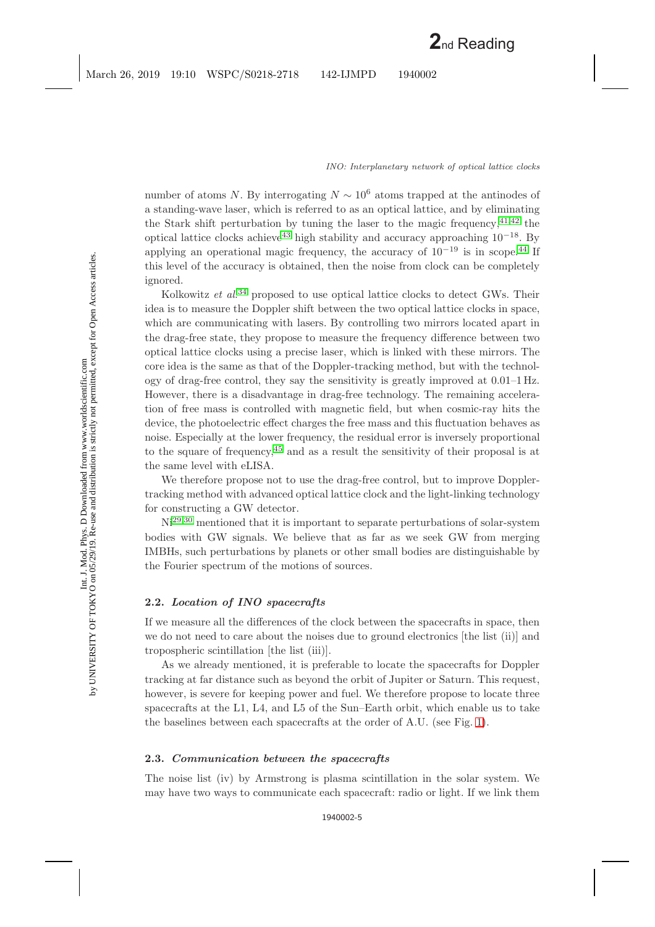number of atoms *N*. By interrogating  $N \sim 10^6$  atoms trapped at the antinodes of a standing-wave laser, which is referred to as an optical lattice, and by eliminating the Stark shift perturbation by tuning the laser to the magic frequency,  $4^{1,42}$  $4^{1,42}$  $4^{1,42}$  the optical lattice clocks achieve<sup>[43](#page-10-15)</sup> high stability and accuracy approaching  $10^{-18}$ . By applying an operational magic frequency, the accuracy of  $10^{-19}$  is in scope.<sup>[44](#page-10-16)</sup> If this level of the accuracy is obtained, then the noise from clock can be completely ignored.

Kolkowitz *et al.*<sup>[34](#page-10-17)</sup> proposed to use optical lattice clocks to detect GWs. Their idea is to measure the Doppler shift between the two optical lattice clocks in space, which are communicating with lasers. By controlling two mirrors located apart in the drag-free state, they propose to measure the frequency difference between two optical lattice clocks using a precise laser, which is linked with these mirrors. The core idea is the same as that of the Doppler-tracking method, but with the technology of drag-free control, they say the sensitivity is greatly improved at 0.01–1 Hz. However, there is a disadvantage in drag-free technology. The remaining acceleration of free mass is controlled with magnetic field, but when cosmic-ray hits the device, the photoelectric effect charges the free mass and this fluctuation behaves as noise. Especially at the lower frequency, the residual error is inversely proportional to the square of frequency,[45](#page-10-18) and as a result the sensitivity of their proposal is at the same level with eLISA.

We therefore propose not to use the drag-free control, but to improve Dopplertracking method with advanced optical lattice clock and the light-linking technology for constructing a GW detector.

Ni[29](#page-10-5)[,30](#page-10-1) mentioned that it is important to separate perturbations of solar-system bodies with GW signals. We believe that as far as we seek GW from merging IMBHs, such perturbations by planets or other small bodies are distinguishable by the Fourier spectrum of the motions of sources.

## **2.2.** *Location of INO spacecrafts*

If we measure all the differences of the clock between the spacecrafts in space, then we do not need to care about the noises due to ground electronics [the list (ii)] and tropospheric scintillation [the list (iii)].

As we already mentioned, it is preferable to locate the spacecrafts for Doppler tracking at far distance such as beyond the orbit of Jupiter or Saturn. This request, however, is severe for keeping power and fuel. We therefore propose to locate three spacecrafts at the L1, L4, and L5 of the Sun–Earth orbit, which enable us to take the baselines between each spacecrafts at the order of A.U. (see Fig. [1\)](#page-5-0).

# **2.3.** *Communication between the spacecrafts*

The noise list (iv) by Armstrong is plasma scintillation in the solar system. We may have two ways to communicate each spacecraft: radio or light. If we link them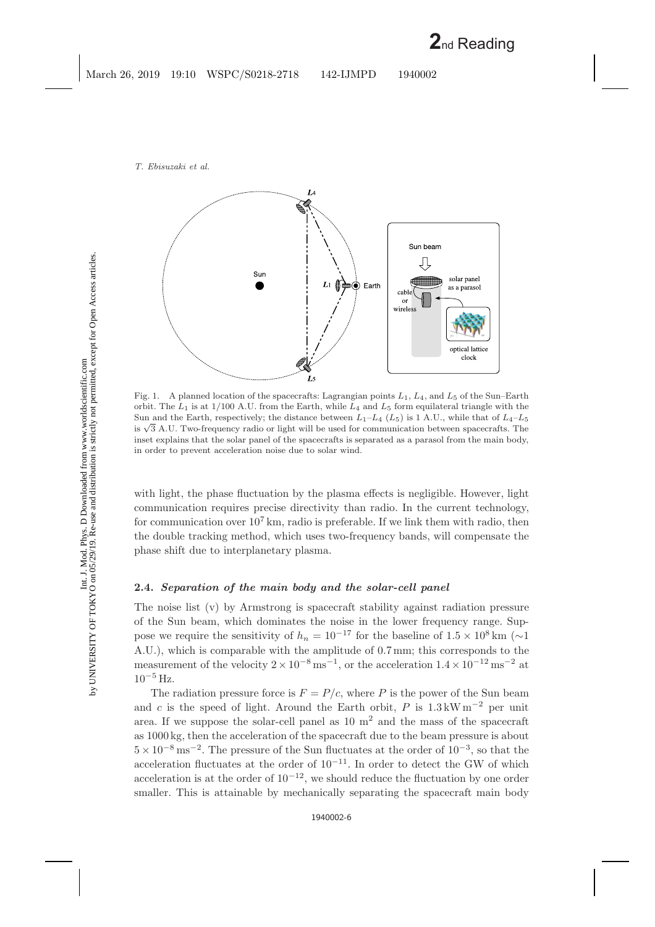

<span id="page-5-0"></span>Fig. 1. A planned location of the spacecrafts: Lagrangian points  $L_1$ ,  $L_4$ , and  $L_5$  of the Sun–Earth orbit. The  $L_1$  is at 1/100 A.U. from the Earth, while  $L_4$  and  $L_5$  form equilateral triangle with the Sun and the Earth, respectively; the distance between  $L_1-L_4$  ( $L_5$ ) is 1 A.U., while that of  $L_4-L_5$ is  $\sqrt{3}$  A.U. Two-frequency radio or light will be used for communication between spacecrafts. The inset explains that the solar panel of the spacecrafts is separated as a parasol from the main body, in order to prevent acceleration noise due to solar wind.

with light, the phase fluctuation by the plasma effects is negligible. However, light communication requires precise directivity than radio. In the current technology, for communication over  $10^7$  km, radio is preferable. If we link them with radio, then the double tracking method, which uses two-frequency bands, will compensate the phase shift due to interplanetary plasma.

## **2.4.** *Separation of the main body and the solar-cell panel*

The noise list (v) by Armstrong is spacecraft stability against radiation pressure of the Sun beam, which dominates the noise in the lower frequency range. Suppose we require the sensitivity of  $h_n = 10^{-17}$  for the baseline of  $1.5 \times 10^8$  km (∼1 A.U.), which is comparable with the amplitude of 0.7 mm; this corresponds to the measurement of the velocity  $2\times10^{-8}\,\mathrm{ms^{-1}} ,$  or the acceleration  $1.4\times10^{-12}\,\mathrm{ms^{-2}}$  at  $10^{-5}$  Hz.

The radiation pressure force is  $F = P/c$ , where P is the power of the Sun beam and *c* is the speed of light. Around the Earth orbit, *P* is  $1.3 \text{ kW m}^{-2}$  per unit area. If we suppose the solar-cell panel as  $10 \text{ m}^2$  and the mass of the spacecraft as 1000 kg, then the acceleration of the spacecraft due to the beam pressure is about  $5 \times 10^{-8}$  ms<sup>-2</sup>. The pressure of the Sun fluctuates at the order of  $10^{-3}$ , so that the acceleration fluctuates at the order of  $10^{-11}$ . In order to detect the GW of which acceleration is at the order of  $10^{-12}$ , we should reduce the fluctuation by one order smaller. This is attainable by mechanically separating the spacecraft main body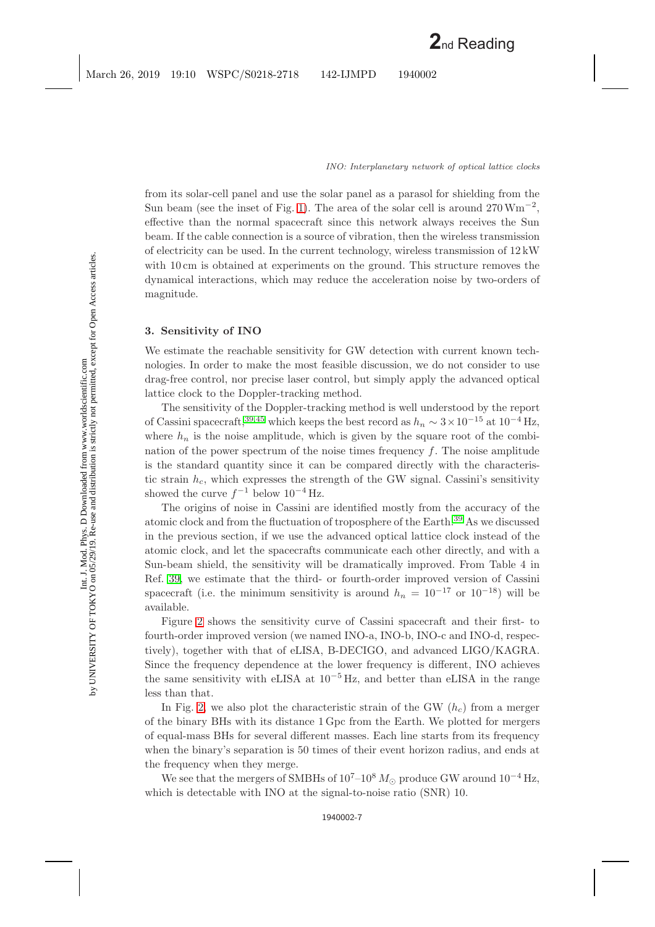from its solar-cell panel and use the solar panel as a parasol for shielding from the Sun beam (see the inset of Fig. [1\)](#page-5-0). The area of the solar cell is around  $270 \,\mathrm{Wm}^{-2}$ . effective than the normal spacecraft since this network always receives the Sun beam. If the cable connection is a source of vibration, then the wireless transmission of electricity can be used. In the current technology, wireless transmission of  $12 \text{kW}$ with 10 cm is obtained at experiments on the ground. This structure removes the dynamical interactions, which may reduce the acceleration noise by two-orders of magnitude.

# **3. Sensitivity of INO**

We estimate the reachable sensitivity for GW detection with current known technologies. In order to make the most feasible discussion, we do not consider to use drag-free control, nor precise laser control, but simply apply the advanced optical lattice clock to the Doppler-tracking method.

The sensitivity of the Doppler-tracking method is well understood by the report of Cassini spacecraft,<sup>[39](#page-10-11)[,45](#page-10-18)</sup> which keeps the best record as  $h_n \sim 3 \times 10^{-15}$  at  $10^{-4}$  Hz, where  $h_n$  is the noise amplitude, which is given by the square root of the combination of the power spectrum of the noise times frequency *f*. The noise amplitude is the standard quantity since it can be compared directly with the characteristic strain  $h_c$ , which expresses the strength of the GW signal. Cassini's sensitivity showed the curve  $f^{-1}$  below  $10^{-4}$  Hz.

The origins of noise in Cassini are identified mostly from the accuracy of the atomic clock and from the fluctuation of troposphere of the Earth.[39](#page-10-11) As we discussed in the previous section, if we use the advanced optical lattice clock instead of the atomic clock, and let the spacecrafts communicate each other directly, and with a Sun-beam shield, the sensitivity will be dramatically improved. From Table 4 in Ref. [39,](#page-10-11) we estimate that the third- or fourth-order improved version of Cassini spacecraft (i.e. the minimum sensitivity is around  $h_n = 10^{-17}$  or  $10^{-18}$ ) will be available.

Figure [2](#page-7-0) shows the sensitivity curve of Cassini spacecraft and their first- to fourth-order improved version (we named INO-a, INO-b, INO-c and INO-d, respectively), together with that of eLISA, B-DECIGO, and advanced LIGO/KAGRA. Since the frequency dependence at the lower frequency is different, INO achieves the same sensitivity with eLISA at  $10^{-5}$  Hz, and better than eLISA in the range less than that.

In Fig. [2,](#page-7-0) we also plot the characteristic strain of the GW (*hc*) from a merger of the binary BHs with its distance 1 Gpc from the Earth. We plotted for mergers of equal-mass BHs for several different masses. Each line starts from its frequency when the binary's separation is 50 times of their event horizon radius, and ends at the frequency when they merge.

We see that the mergers of SMBHs of  $10^{7}-10^{8} M_{\odot}$  produce GW around  $10^{-4}$  Hz, which is detectable with INO at the signal-to-noise ratio (SNR) 10.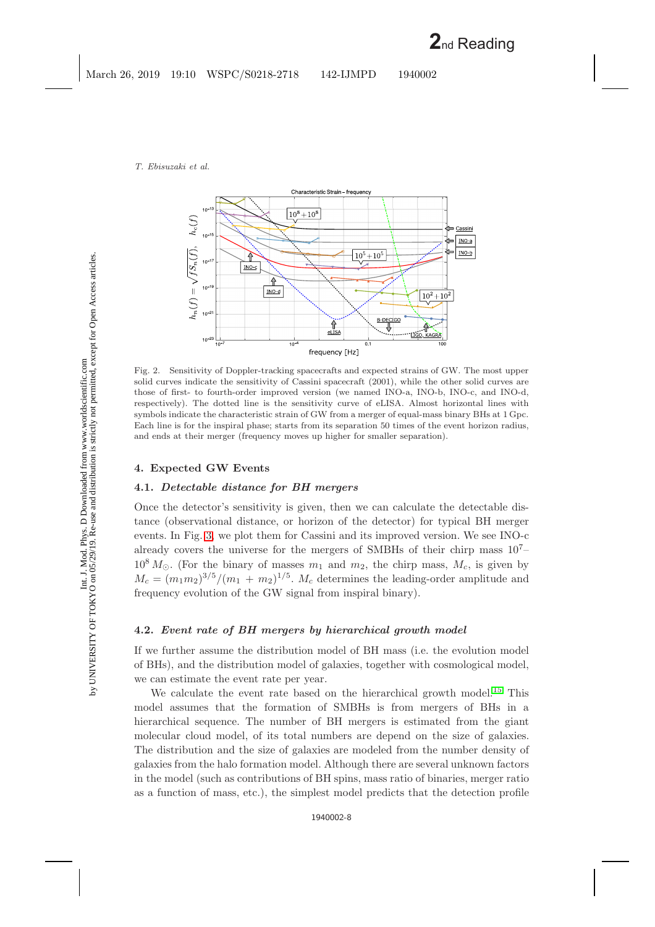

<span id="page-7-0"></span>Fig. 2. Sensitivity of Doppler-tracking spacecrafts and expected strains of GW. The most upper solid curves indicate the sensitivity of Cassini spacecraft (2001), while the other solid curves are those of first- to fourth-order improved version (we named INO-a, INO-b, INO-c, and INO-d, respectively). The dotted line is the sensitivity curve of eLISA. Almost horizontal lines with symbols indicate the characteristic strain of GW from a merger of equal-mass binary BHs at 1 Gpc. Each line is for the inspiral phase; starts from its separation 50 times of the event horizon radius, and ends at their merger (frequency moves up higher for smaller separation).

# **4. Expected GW Events**

# **4.1.** *Detectable distance for BH mergers*

Once the detector's sensitivity is given, then we can calculate the detectable distance (observational distance, or horizon of the detector) for typical BH merger events. In Fig. [3,](#page-8-0) we plot them for Cassini and its improved version. We see INO-c already covers the universe for the mergers of SMBHs of their chirp mass  $10<sup>7</sup>$  $10^8 M_{\odot}$ . (For the binary of masses  $m_1$  and  $m_2$ , the chirp mass,  $M_c$ , is given by  $M_c = (m_1 m_2)^{3/5}/(m_1 + m_2)^{1/5}$ .  $M_c$  determines the leading-order amplitude and frequency evolution of the GW signal from inspiral binary).

### **4.2.** *Event rate of BH mergers by hierarchical growth model*

If we further assume the distribution model of BH mass (i.e. the evolution model of BHs), and the distribution model of galaxies, together with cosmological model, we can estimate the event rate per year.

We calculate the event rate based on the hierarchical growth model.<sup>[15](#page-9-12)</sup> This model assumes that the formation of SMBHs is from mergers of BHs in a hierarchical sequence. The number of BH mergers is estimated from the giant molecular cloud model, of its total numbers are depend on the size of galaxies. The distribution and the size of galaxies are modeled from the number density of galaxies from the halo formation model. Although there are several unknown factors in the model (such as contributions of BH spins, mass ratio of binaries, merger ratio as a function of mass, etc.), the simplest model predicts that the detection profile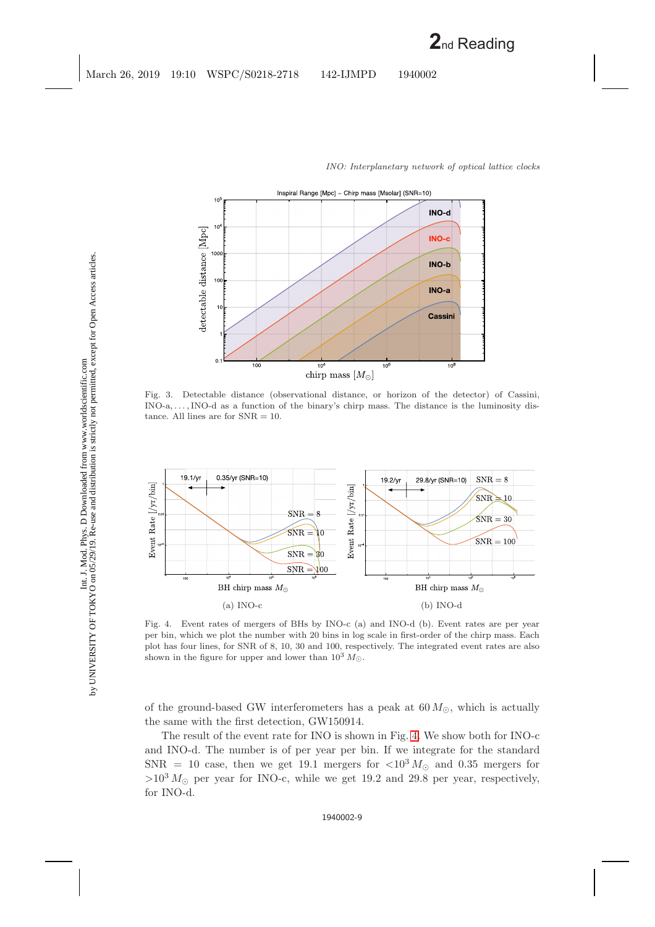

<span id="page-8-0"></span>Fig. 3. Detectable distance (observational distance, or horizon of the detector) of Cassini, INO-a,...,INO-d as a function of the binary's chirp mass. The distance is the luminosity distance. All lines are for SNR = 10.



<span id="page-8-1"></span>Fig. 4. Event rates of mergers of BHs by INO-c (a) and INO-d (b). Event rates are per year per bin, which we plot the number with 20 bins in log scale in first-order of the chirp mass. Each plot has four lines, for SNR of 8, 10, 30 and 100, respectively. The integrated event rates are also shown in the figure for upper and lower than  $10^3 M_{\odot}$ .

of the ground-based GW interferometers has a peak at  $60 M_{\odot}$ , which is actually the same with the first detection, GW150914.

The result of the event rate for INO is shown in Fig. [4.](#page-8-1) We show both for INO-c and INO-d. The number is of per year per bin. If we integrate for the standard  $SNR = 10$  case, then we get 19.1 mergers for  $\langle 10^3 M_{\odot}$  and 0.35 mergers for  $>10^3 M_{\odot}$  per year for INO-c, while we get 19.2 and 29.8 per year, respectively, for INO-d.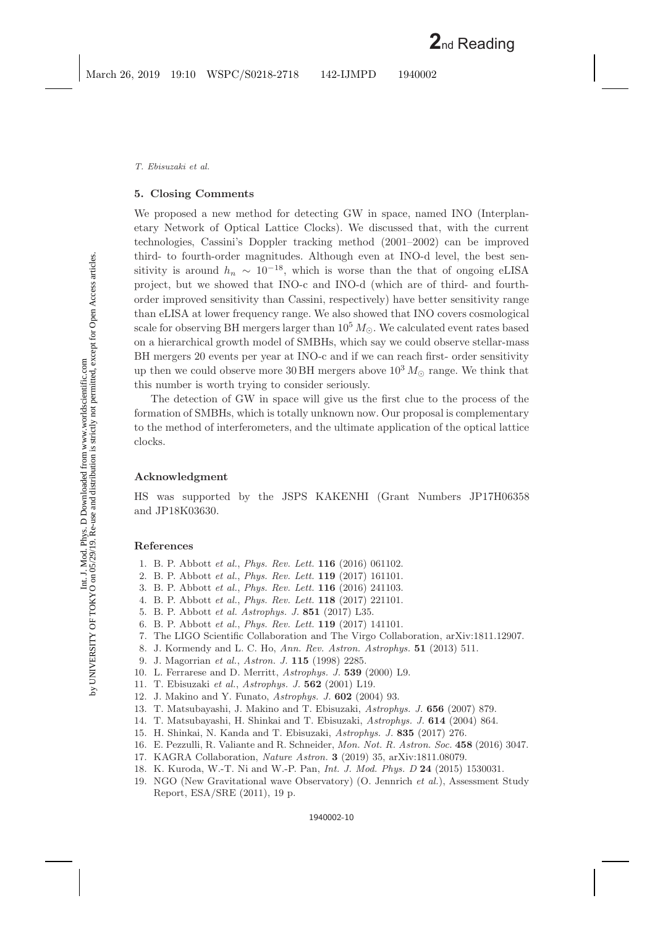### **5. Closing Comments**

We proposed a new method for detecting GW in space, named INO (Interplanetary Network of Optical Lattice Clocks). We discussed that, with the current technologies, Cassini's Doppler tracking method (2001–2002) can be improved third- to fourth-order magnitudes. Although even at INO-d level, the best sensitivity is around  $h_n \sim 10^{-18}$ , which is worse than the that of ongoing eLISA project, but we showed that INO-c and INO-d (which are of third- and fourthorder improved sensitivity than Cassini, respectively) have better sensitivity range than eLISA at lower frequency range. We also showed that INO covers cosmological scale for observing BH mergers larger than  $10^5 M_{\odot}$ . We calculated event rates based on a hierarchical growth model of SMBHs, which say we could observe stellar-mass BH mergers 20 events per year at INO-c and if we can reach first- order sensitivity up then we could observe more 30 BH mergers above  $10^3 M_{\odot}$  range. We think that this number is worth trying to consider seriously.

The detection of GW in space will give us the first clue to the process of the formation of SMBHs, which is totally unknown now. Our proposal is complementary to the method of interferometers, and the ultimate application of the optical lattice clocks.

### **Acknowledgment**

HS was supported by the JSPS KAKENHI (Grant Numbers JP17H06358 and JP18K03630.

### <span id="page-9-2"></span><span id="page-9-1"></span><span id="page-9-0"></span>**References**

- 1. B. P. Abbott *et al.*, *Phys. Rev. Lett.* **116** (2016) 061102.
- <span id="page-9-3"></span>2. B. P. Abbott *et al.*, *Phys. Rev. Lett.* **119** (2017) 161101.
- 3. B. P. Abbott *et al.*, *Phys. Rev. Lett.* **116** (2016) 241103.
- 4. B. P. Abbott *et al.*, *Phys. Rev. Lett.* **118** (2017) 221101.
- 5. B. P. Abbott *et al. Astrophys. J.* **851** (2017) L35.
- <span id="page-9-4"></span>6. B. P. Abbott *et al.*, *Phys. Rev. Lett.* **119** (2017) 141101.
- <span id="page-9-5"></span>7. The LIGO Scientific Collaboration and The Virgo Collaboration, arXiv:1811.12907.
- 8. J. Kormendy and L. C. Ho, *Ann. Rev. Astron. Astrophys.* **51** (2013) 511.
- <span id="page-9-6"></span>9. J. Magorrian *et al.*, *Astron. J.* **115** (1998) 2285.
- <span id="page-9-8"></span><span id="page-9-7"></span>10. L. Ferrarese and D. Merritt, *Astrophys. J.* **539** (2000) L9.
- <span id="page-9-9"></span>11. T. Ebisuzaki *et al.*, *Astrophys. J.* **562** (2001) L19.
- <span id="page-9-10"></span>12. J. Makino and Y. Funato, *Astrophys. J.* **602** (2004) 93.
- <span id="page-9-11"></span>13. T. Matsubayashi, J. Makino and T. Ebisuzaki, *Astrophys. J.* **656** (2007) 879.
- <span id="page-9-12"></span>14. T. Matsubayashi, H. Shinkai and T. Ebisuzaki, *Astrophys. J.* **614** (2004) 864.
- <span id="page-9-13"></span>15. H. Shinkai, N. Kanda and T. Ebisuzaki, *Astrophys. J.* **835** (2017) 276.
- <span id="page-9-14"></span>16. E. Pezzulli, R. Valiante and R. Schneider, *Mon. Not. R. Astron. Soc.* **458** (2016) 3047.
- <span id="page-9-15"></span>17. KAGRA Collaboration, *Nature Astron.* **3** (2019) 35, arXiv:1811.08079.
- <span id="page-9-16"></span>18. K. Kuroda, W.-T. Ni and W.-P. Pan, *Int. J. Mod. Phys. D* **24** (2015) 1530031.
- 19. NGO (New Gravitational wave Observatory) (O. Jennrich *et al.*), Assessment Study Report, ESA/SRE (2011), 19 p.